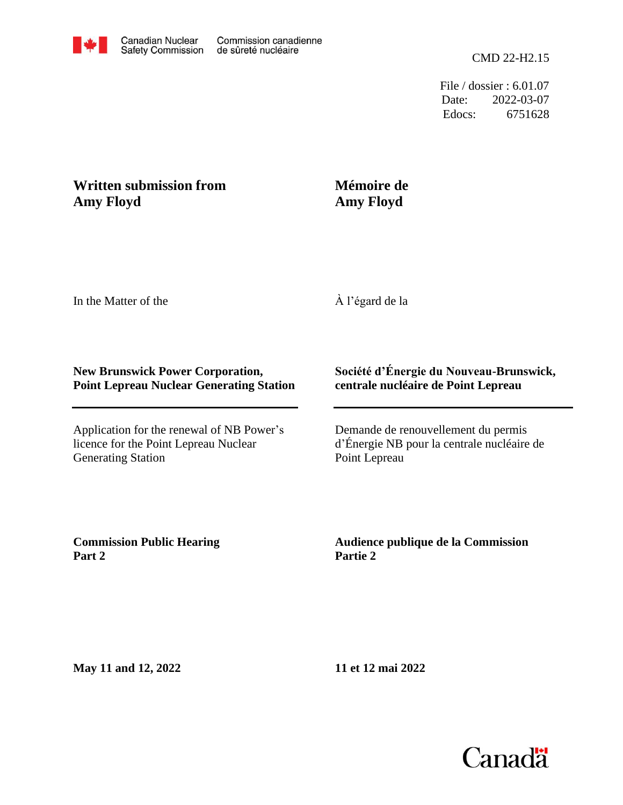

File / dossier : 6.01.07 Date: 2022-03-07 Edocs: 6751628

## **Written submission from Amy Floyd**

## **Mémoire de Amy Floyd**

In the Matter of the

À l'égard de la

## **New Brunswick Power Corporation, Point Lepreau Nuclear Generating Station**

Application for the renewal of NB Power's licence for the Point Lepreau Nuclear Generating Station

## **Société d'Énergie du Nouveau-Brunswick, centrale nucléaire de Point Lepreau**

Demande de renouvellement du permis d'Énergie NB pour la centrale nucléaire de Point Lepreau

**Commission Public Hearing Part 2**

**Audience publique de la Commission Partie 2**

**May 11 and 12, 2022**

**11 et 12 mai 2022**